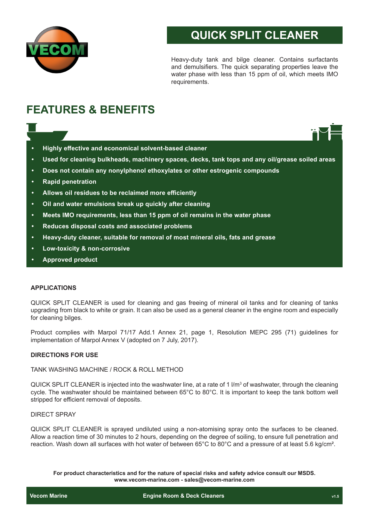

# **QUICK SPLIT CLEANER**

Heavy-duty tank and bilge cleaner. Contains surfactants and demulsifiers. The quick separating properties leave the water phase with less than 15 ppm of oil, which meets IMO requirements.

## **FEATURES & BENEFITS**

- **• Highly effective and economical solvent-based cleaner**
- **• Used for cleaning bulkheads, machinery spaces, decks, tank tops and any oil/grease soiled areas**
- **• Does not contain any nonylphenol ethoxylates or other estrogenic compounds**
- **• Rapid penetration**
- **• Allows oil residues to be reclaimed more efficiently**
- **• Oil and water emulsions break up quickly after cleaning**
- **• Meets IMO requirements, less than 15 ppm of oil remains in the water phase**
- **• Reduces disposal costs and associated problems**
- **• Heavy-duty cleaner, suitable for removal of most mineral oils, fats and grease**
- **• Low-toxicity & non-corrosive**
- **• Approved product**

## **APPLICATIONS**

QUICK SPLIT CLEANER is used for cleaning and gas freeing of mineral oil tanks and for cleaning of tanks upgrading from black to white or grain. It can also be used as a general cleaner in the engine room and especially for cleaning bilges.

Product complies with Marpol 71/17 Add.1 Annex 21, page 1, Resolution MEPC 295 (71) guidelines for implementation of Marpol Annex V (adopted on 7 July, 2017).

#### **DIRECTIONS FOR USE**

#### TANK WASHING MACHINE / ROCK & ROLL METHOD

QUICK SPLIT CLEANER is injected into the washwater line, at a rate of 1 l/m $^3$  of washwater, through the cleaning cycle. The washwater should be maintained between 65°C to 80°C. It is important to keep the tank bottom well stripped for efficient removal of deposits.

#### DIRECT SPRAY

QUICK SPLIT CLEANER is sprayed undiluted using a non-atomising spray onto the surfaces to be cleaned. Allow a reaction time of 30 minutes to 2 hours, depending on the degree of soiling, to ensure full penetration and reaction. Wash down all surfaces with hot water of between 65°C to 80°C and a pressure of at least 5.6 kg/cm².

**For product characteristics and for the nature of special risks and safety advice consult our MSDS. www.vecom-marine.com - sales@vecom-marine.com**